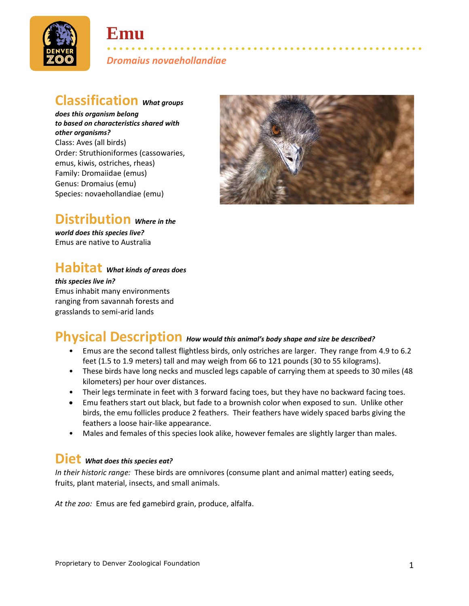

# **Emu**

• • • • • • • • • • • • • • • • • • • • • • • • • • • • • • • • • • • • • • • • • • • • • • • • • • • • *Dromaius novaehollandiae*

#### **Classification** *What groups*

*does this organism belong to based on characteristics shared with other organisms?* Class: Aves (all birds) Order: Struthioniformes (cassowaries, emus, kiwis, ostriches, rheas) Family: Dromaiidae (emus) Genus: Dromaius (emu) Species: novaehollandiae (emu)



### **Distribution** *Where in the*

*world does this species live?* Emus are native to Australia

### **Habitat** *What kinds of areas does*

*this species live in?* Emus inhabit many environments ranging from savannah forests and grasslands to semi-arid lands

#### **Physical Description** *How would this animal's body shape and size be described?*

- Emus are the second tallest flightless birds, only ostriches are larger. They range from 4.9 to 6.2 feet (1.5 to 1.9 meters) tall and may weigh from 66 to 121 pounds (30 to 55 kilograms).
- These birds have long necks and muscled legs capable of carrying them at speeds to 30 miles (48 kilometers) per hour over distances.
- Their legs terminate in feet with 3 forward facing toes, but they have no backward facing toes.
- Emu feathers start out black, but fade to a brownish color when exposed to sun. Unlike other birds, the emu follicles produce 2 feathers. Their feathers have widely spaced barbs giving the feathers a loose hair-like appearance.
- Males and females of this species look alike, however females are slightly larger than males.

#### **Diet** *What does this species eat?*

*In their historic range:* These birds are omnivores (consume plant and animal matter) eating seeds, fruits, plant material, insects, and small animals.

*At the zoo:* Emus are fed gamebird grain, produce, alfalfa.